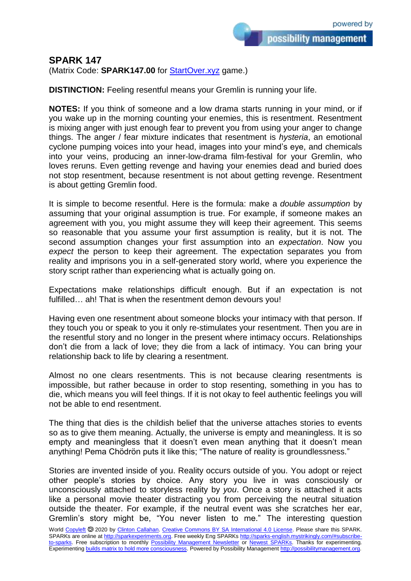## **SPARK 147**

(Matrix Code: **SPARK147.00** for **StartOver.xyz** game.)

**DISTINCTION:** Feeling resentful means your Gremlin is running your life.

**NOTES:** If you think of someone and a low drama starts running in your mind, or if you wake up in the morning counting your enemies, this is resentment. Resentment is mixing anger with just enough fear to prevent you from using your anger to change things. The anger / fear mixture indicates that resentment is *hysteria*, an emotional cyclone pumping voices into your head, images into your mind's eye, and chemicals into your veins, producing an inner-low-drama film-festival for your Gremlin, who loves reruns. Even getting revenge and having your enemies dead and buried does not stop resentment, because resentment is not about getting revenge. Resentment is about getting Gremlin food.

It is simple to become resentful. Here is the formula: make a *double assumption* by assuming that your original assumption is true. For example, if someone makes an agreement with you, you might assume they will keep their agreement. This seems so reasonable that you assume your first assumption is reality, but it is not. The second assumption changes your first assumption into an *expectation*. Now you *expect* the person to keep their agreement. The expectation separates you from reality and imprisons you in a self-generated story world, where you experience the story script rather than experiencing what is actually going on.

Expectations make relationships difficult enough. But if an expectation is not fulfilled... ah! That is when the resentment demon devours you!

Having even one resentment about someone blocks your intimacy with that person. If they touch you or speak to you it only re-stimulates your resentment. Then you are in the resentful story and no longer in the present where intimacy occurs. Relationships don't die from a lack of love; they die from a lack of intimacy. You can bring your relationship back to life by clearing a resentment.

Almost no one clears resentments. This is not because clearing resentments is impossible, but rather because in order to stop resenting, something in you has to die, which means you will feel things. If it is not okay to feel authentic feelings you will not be able to end resentment.

The thing that dies is the childish belief that the universe attaches stories to events so as to give them meaning. Actually, the universe is empty and meaningless. It is so empty and meaningless that it doesn't even mean anything that it doesn't mean anything! Pema Chödrön puts it like this; "The nature of reality is groundlessness."

Stories are invented inside of you. Reality occurs outside of you. You adopt or reject other people's stories by choice. Any story you live in was consciously or unconsciously attached to storyless reality by *you*. Once a story is attached it acts like a personal movie theater distracting you from perceiving the neutral situation outside the theater. For example, if the neutral event was she scratches her ear, Gremlin's story might be, "You never listen to me." The interesting question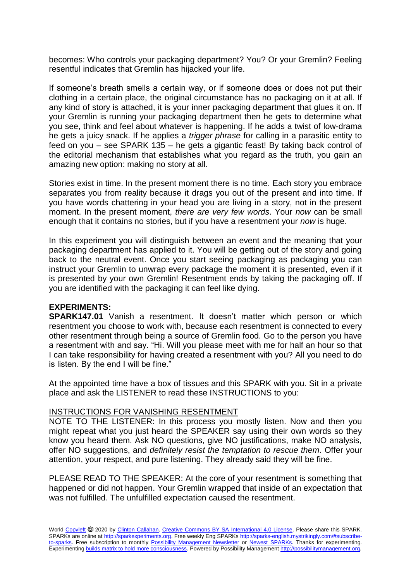becomes: Who controls your packaging department? You? Or your Gremlin? Feeling resentful indicates that Gremlin has hijacked your life.

If someone's breath smells a certain way, or if someone does or does not put their clothing in a certain place, the original circumstance has no packaging on it at all. If any kind of story is attached, it is your inner packaging department that glues it on. If your Gremlin is running your packaging department then he gets to determine what you see, think and feel about whatever is happening. If he adds a twist of low-drama he gets a juicy snack. If he applies a *trigger phrase* for calling in a parasitic entity to feed on you – see SPARK 135 – he gets a gigantic feast! By taking back control of the editorial mechanism that establishes what you regard as the truth, you gain an amazing new option: making no story at all.

Stories exist in time. In the present moment there is no time. Each story you embrace separates you from reality because it drags you out of the present and into time. If you have words chattering in your head you are living in a story, not in the present moment. In the present moment, *there are very few words*. Your *now* can be small enough that it contains no stories, but if you have a resentment your *now* is huge.

In this experiment you will distinguish between an event and the meaning that your packaging department has applied to it. You will be getting out of the story and going back to the neutral event. Once you start seeing packaging as packaging you can instruct your Gremlin to unwrap every package the moment it is presented, even if it is presented by your own Gremlin! Resentment ends by taking the packaging off. If you are identified with the packaging it can feel like dying.

## **EXPERIMENTS:**

**SPARK147.01** Vanish a resentment. It doesn't matter which person or which resentment you choose to work with, because each resentment is connected to every other resentment through being a source of Gremlin food. Go to the person you have a resentment with and say. "Hi. Will you please meet with me for half an hour so that I can take responsibility for having created a resentment with you? All you need to do is listen. By the end I will be fine."

At the appointed time have a box of tissues and this SPARK with you. Sit in a private place and ask the LISTENER to read these INSTRUCTIONS to you:

## INSTRUCTIONS FOR VANISHING RESENTMENT

NOTE TO THE LISTENER: In this process you mostly listen. Now and then you might repeat what you just heard the SPEAKER say using their own words so they know you heard them. Ask NO questions, give NO justifications, make NO analysis, offer NO suggestions, and *definitely resist the temptation to rescue them*. Offer your attention, your respect, and pure listening. They already said they will be fine.

PLEASE READ TO THE SPEAKER: At the core of your resentment is something that happened or did not happen. Your Gremlin wrapped that inside of an expectation that was not fulfilled. The unfulfilled expectation caused the resentment.